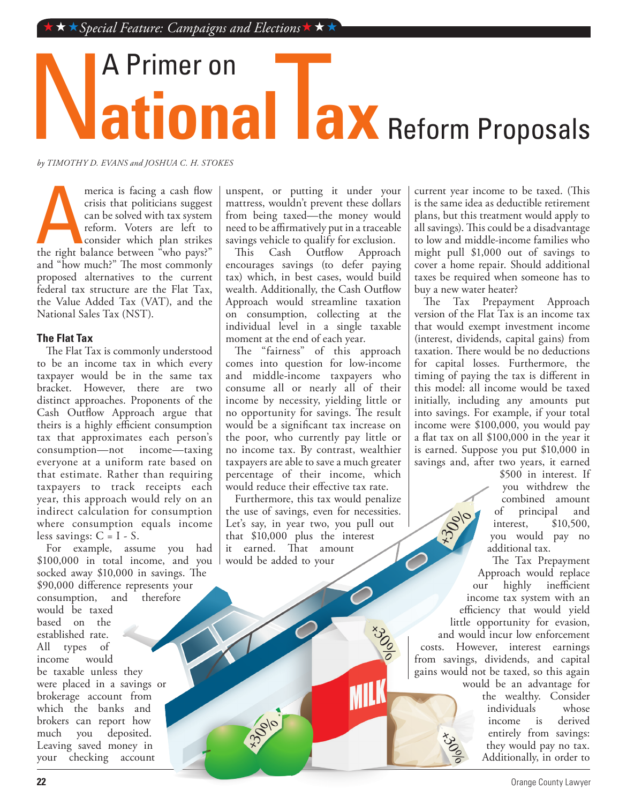# **National lax** A Primer on Reform Proposals

*by TIMOTHY D. EVANS and JOSHUA C. H. STOKES*

merica is facing a cash flow<br>crisis that politicians suggest<br>can be solved with tax system<br>reform. Voters are left to<br>consider which plan strikes<br>the right balance between "who pays?" merica is facing a cash flow crisis that politicians suggest can be solved with tax system reform. Voters are left to consider which plan strikes and "how much?" The most commonly proposed alternatives to the current federal tax structure are the Flat Tax, the Value Added Tax (VAT), and the National Sales Tax (NST).

#### **The Flat Tax**

The Flat Tax is commonly understood to be an income tax in which every taxpayer would be in the same tax bracket. However, there are two distinct approaches. Proponents of the Cash Outflow Approach argue that theirs is a highly efficient consumption tax that approximates each person's consumption—not everyone at a uniform rate based on that estimate. Rather than requiring taxpayers to track receipts each year, this approach would rely on an indirect calculation for consumption where consumption equals income less savings:  $C = I - S$ .

For example, assume you had \$100,000 in total income, and you socked away \$10,000 in savings. The \$90,000 difference represents your<br>consumption, and therefore consumption, would be taxed based on the established rate. All types of<br>income would income be taxable unless they were placed in a savings or brokerage account from which the banks and brokers can report how<br>much vou deposited. much you Leaving saved money in your checking account

unspent, or putting it under your mattress, wouldn't prevent these dollars from being taxed—the money would need to be affirmatively put in a traceable savings vehicle to qualify for exclusion.<br>This Cash Outflow Approach

Cash Outflow encourages savings (to defer paying tax) which, in best cases, would build wealth. Additionally, the Cash Outflow Approach would streamline taxation on consumption, collecting at the individual level in a single taxable moment at the end of each year.

The "fairness" of this approach comes into question for low-income and middle-income taxpayers who consume all or nearly all of their income by necessity, yielding little or no opportunity for savings. The result would be a significant tax increase on the poor, who currently pay little or no income tax. By contrast, wealthier taxpayers are able to save a much greater percentage of their income, which would reduce their effective tax rate.

Furthermore, this tax would penalize the use of savings, even for necessities. Let's say, in year two, you pull out that \$10,000 plus the interest it earned. That amount would be added to your

MILK

current year income to be taxed. (This is the same idea as deductible retirement plans, but this treatment would apply to all savings). This could be a disadvantage to low and middle-income families who might pull \$1,000 out of savings to cover a home repair. Should additional taxes be required when someone has to buy a new water heater?

The Tax Prepayment Approach version of the Flat Tax is an income tax that would exempt investment income (interest, dividends, capital gains) from taxation. There would be no deductions for capital losses. Furthermore, the timing of paying the tax is different in this model: all income would be taxed initially, including any amounts put into savings. For example, if your total income were \$100,000, you would pay a flat tax on all \$100,000 in the year it is earned. Suppose you put \$10,000 in savings and, after two years, it earned

> \$500 in interest. If you withdrew the combined amount<br>of principal and principal and interest, \$10,500, you would pay no additional tax.

The Tax Prepayment Approach would replace our highly inefficient income tax system with an efficiency that would yield little opportunity for evasion, and would incur low enforcement costs. However, interest earnings from savings, dividends, and capital gains would not be taxed, so this again would be an advantage for

the wealthy. Consider<br>individuals whose individuals income is derived entirely from savings: they would pay no tax. Additionally, in order to